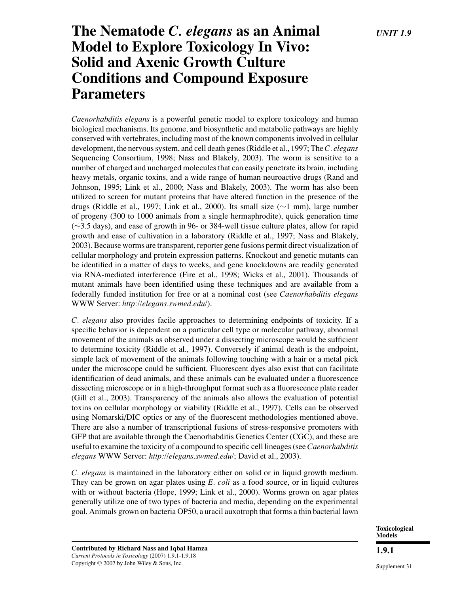# **The Nematode** *C. elegans* **as an Animal** *UNIT 1.9* **Model to Explore Toxicology In Vivo: Solid and Axenic Growth Culture Conditions and Compound Exposure Parameters**

*Caenorhabditis elegans* is a powerful genetic model to explore toxicology and human biological mechanisms. Its genome, and biosynthetic and metabolic pathways are highly conserved with vertebrates, including most of the known components involved in cellular development, the nervous system, and cell death genes (Riddle et al., 1997; The*C. elegans* Sequencing Consortium, 1998; Nass and Blakely, 2003). The worm is sensitive to a number of charged and uncharged molecules that can easily penetrate its brain, including heavy metals, organic toxins, and a wide range of human neuroactive drugs (Rand and Johnson, 1995; Link et al., 2000; Nass and Blakely, 2003). The worm has also been utilized to screen for mutant proteins that have altered function in the presence of the drugs (Riddle et al., 1997; Link et al., 2000). Its small size (∼1 mm), large number of progeny (300 to 1000 animals from a single hermaphrodite), quick generation time (∼3.5 days), and ease of growth in 96- or 384-well tissue culture plates, allow for rapid growth and ease of cultivation in a laboratory (Riddle et al., 1997; Nass and Blakely, 2003). Because worms are transparent, reporter gene fusions permit direct visualization of cellular morphology and protein expression patterns. Knockout and genetic mutants can be identified in a matter of days to weeks, and gene knockdowns are readily generated via RNA-mediated interference (Fire et al., 1998; Wicks et al., 2001). Thousands of mutant animals have been identified using these techniques and are available from a federally funded institution for free or at a nominal cost (see *Caenorhabditis elegans* WWW Server: *http://elegans.swmed.edu/*).

*C. elegans* also provides facile approaches to determining endpoints of toxicity. If a specific behavior is dependent on a particular cell type or molecular pathway, abnormal movement of the animals as observed under a dissecting microscope would be sufficient to determine toxicity (Riddle et al., 1997). Conversely if animal death is the endpoint, simple lack of movement of the animals following touching with a hair or a metal pick under the microscope could be sufficient. Fluorescent dyes also exist that can facilitate identification of dead animals, and these animals can be evaluated under a fluorescence dissecting microscope or in a high-throughput format such as a fluorescence plate reader (Gill et al., 2003). Transparency of the animals also allows the evaluation of potential toxins on cellular morphology or viability (Riddle et al., 1997). Cells can be observed using Nomarski/DIC optics or any of the fluorescent methodologies mentioned above. There are also a number of transcriptional fusions of stress-responsive promoters with GFP that are available through the Caenorhabditis Genetics Center (CGC), and these are useful to examine the toxicity of a compound to specific cell lineages (see *Caenorhabditis elegans* WWW Server: *http://elegans.swmed.edu/*; David et al., 2003).

*C. elegans* is maintained in the laboratory either on solid or in liquid growth medium. They can be grown on agar plates using *E. coli* as a food source, or in liquid cultures with or without bacteria (Hope, 1999; Link et al., 2000). Worms grown on agar plates generally utilize one of two types of bacteria and media, depending on the experimental goal. Animals grown on bacteria OP50, a uracil auxotroph that forms a thin bacterial lawn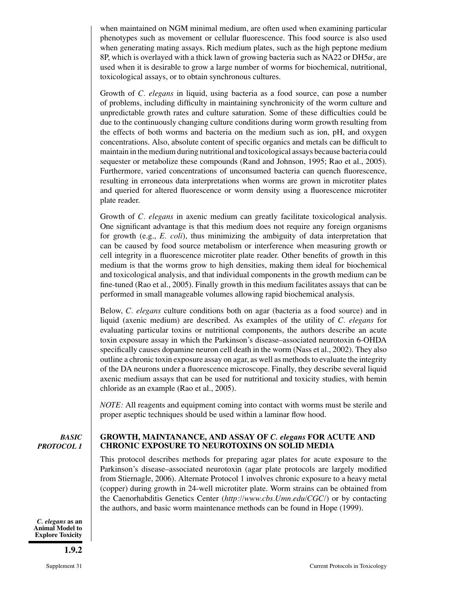when maintained on NGM minimal medium, are often used when examining particular phenotypes such as movement or cellular fluorescence. This food source is also used when generating mating assays. Rich medium plates, such as the high peptone medium 8P, which is overlayed with a thick lawn of growing bacteria such as NA22 or DH5 $\alpha$ , are used when it is desirable to grow a large number of worms for biochemical, nutritional, toxicological assays, or to obtain synchronous cultures.

Growth of *C. elegans* in liquid, using bacteria as a food source, can pose a number of problems, including difficulty in maintaining synchronicity of the worm culture and unpredictable growth rates and culture saturation. Some of these difficulties could be due to the continuously changing culture conditions during worm growth resulting from the effects of both worms and bacteria on the medium such as ion, pH, and oxygen concentrations. Also, absolute content of specific organics and metals can be difficult to maintain in the medium during nutritional and toxicological assays because bacteria could sequester or metabolize these compounds (Rand and Johnson, 1995; Rao et al., 2005). Furthermore, varied concentrations of unconsumed bacteria can quench fluorescence, resulting in erroneous data interpretations when worms are grown in microtiter plates and queried for altered fluorescence or worm density using a fluorescence microtiter plate reader.

Growth of *C. elegans* in axenic medium can greatly facilitate toxicological analysis. One significant advantage is that this medium does not require any foreign organisms for growth (e.g., *E. coli*), thus minimizing the ambiguity of data interpretation that can be caused by food source metabolism or interference when measuring growth or cell integrity in a fluorescence microtiter plate reader. Other benefits of growth in this medium is that the worms grow to high densities, making them ideal for biochemical and toxicological analysis, and that individual components in the growth medium can be fine-tuned (Rao et al., 2005). Finally growth in this medium facilitates assays that can be performed in small manageable volumes allowing rapid biochemical analysis.

Below, *C. elegans* culture conditions both on agar (bacteria as a food source) and in liquid (axenic medium) are described. As examples of the utility of *C. elegans* for evaluating particular toxins or nutritional components, the authors describe an acute toxin exposure assay in which the Parkinson's disease–associated neurotoxin 6-OHDA specifically causes dopamine neuron cell death in the worm (Nass et al., 2002). They also outline a chronic toxin exposure assay on agar, as well as methods to evaluate the integrity of the DA neurons under a fluorescence microscope. Finally, they describe several liquid axenic medium assays that can be used for nutritional and toxicity studies, with hemin chloride as an example (Rao et al., 2005).

*NOTE:* All reagents and equipment coming into contact with worms must be sterile and proper aseptic techniques should be used within a laminar flow hood.

*BASIC PROTOCOL 1*

*C. elegans* **as an Animal Model to Explore Toxicity**

**1.9.2**

# **GROWTH, MAINTANANCE, AND ASSAY OF** *C. elegans* **FOR ACUTE AND CHRONIC EXPOSURE TO NEUROTOXINS ON SOLID MEDIA**

This protocol describes methods for preparing agar plates for acute exposure to the Parkinson's disease–associated neurotoxin (agar plate protocols are largely modified from Stiernagle, 2006). Alternate Protocol 1 involves chronic exposure to a heavy metal (copper) during growth in 24-well microtiter plate. Worm strains can be obtained from the Caenorhabditis Genetics Center (*http://www.cbs.Umn.edu/CGC/*) or by contacting the authors, and basic worm maintenance methods can be found in Hope (1999).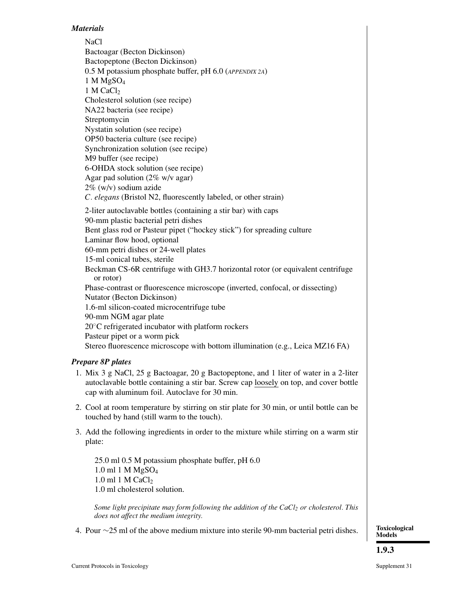# *Materials*

NaCl Bactoagar (Becton Dickinson) Bactopeptone (Becton Dickinson) 0.5 M potassium phosphate buffer, pH 6.0 (*APPENDIX 2A*) 1 M MgSO4  $1$  M CaCl<sub>2</sub> Cholesterol solution (see recipe) NA22 bacteria (see recipe) Streptomycin Nystatin solution (see recipe) OP50 bacteria culture (see recipe) Synchronization solution (see recipe) M9 buffer (see recipe) 6-OHDA stock solution (see recipe) Agar pad solution (2% w/v agar) 2% (w/v) sodium azide *C. elegans* (Bristol N2, fluorescently labeled, or other strain) 2-liter autoclavable bottles (containing a stir bar) with caps 90-mm plastic bacterial petri dishes Bent glass rod or Pasteur pipet ("hockey stick") for spreading culture Laminar flow hood, optional 60-mm petri dishes or 24-well plates 15-ml conical tubes, sterile Beckman CS-6R centrifuge with GH3.7 horizontal rotor (or equivalent centrifuge or rotor) Phase-contrast or fluorescence microscope (inverted, confocal, or dissecting) Nutator (Becton Dickinson) 1.6-ml silicon-coated microcentrifuge tube 90-mm NGM agar plate 20<sup>°</sup>C refrigerated incubator with platform rockers Pasteur pipet or a worm pick Stereo fluorescence microscope with bottom illumination (e.g., Leica MZ16 FA)

# *Prepare 8P plates*

- 1. Mix 3 g NaCl, 25 g Bactoagar, 20 g Bactopeptone, and 1 liter of water in a 2-liter autoclavable bottle containing a stir bar. Screw cap loosely on top, and cover bottle cap with aluminum foil. Autoclave for 30 min.
- 2. Cool at room temperature by stirring on stir plate for 30 min, or until bottle can be touched by hand (still warm to the touch).
- 3. Add the following ingredients in order to the mixture while stirring on a warm stir plate:

25.0 ml 0.5 M potassium phosphate buffer, pH 6.0 1.0 ml 1 M MgSO4 1.0 ml 1 M CaCl<sub>2</sub> 1.0 ml cholesterol solution.

*Some light precipitate may form following the addition of the CaCl<sub>2</sub> or cholesterol. This does not affect the medium integrity.*

4. Pour ∼25 ml of the above medium mixture into sterile 90-mm bacterial petri dishes.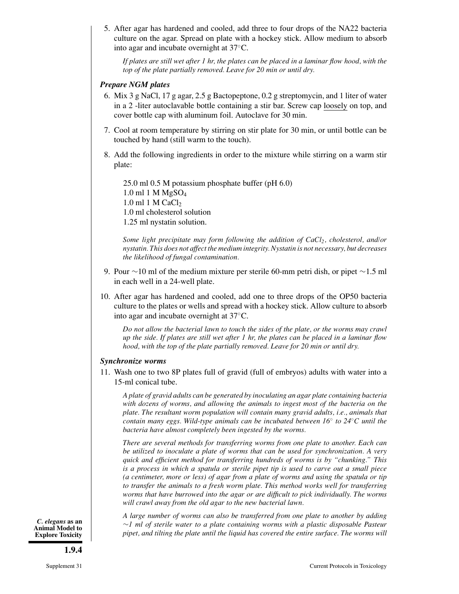5. After agar has hardened and cooled, add three to four drops of the NA22 bacteria culture on the agar. Spread on plate with a hockey stick. Allow medium to absorb into agar and incubate overnight at 37◦C.

*If plates are still wet after 1 hr, the plates can be placed in a laminar flow hood, with the top of the plate partially removed. Leave for 20 min or until dry.*

#### *Prepare NGM plates*

- 6. Mix 3 g NaCl, 17 g agar, 2.5 g Bactopeptone, 0.2 g streptomycin, and 1 liter of water in a 2 -liter autoclavable bottle containing a stir bar. Screw cap loosely on top, and cover bottle cap with aluminum foil. Autoclave for 30 min.
- 7. Cool at room temperature by stirring on stir plate for 30 min, or until bottle can be touched by hand (still warm to the touch).
- 8. Add the following ingredients in order to the mixture while stirring on a warm stir plate:

25.0 ml 0.5 M potassium phosphate buffer (pH 6.0) 1.0 ml 1 M MgSO4  $1.0$  ml 1 M CaCl<sub>2</sub> 1.0 ml cholesterol solution 1.25 ml nystatin solution.

*Some light precipitate may form following the addition of CaCl2, cholesterol, and/or nystatin. This does not affect the medium integrity. Nystatin is not necessary, but decreases the likelihood of fungal contamination.*

- 9. Pour ∼10 ml of the medium mixture per sterile 60-mm petri dish, or pipet ∼1.5 ml in each well in a 24-well plate.
- 10. After agar has hardened and cooled, add one to three drops of the OP50 bacteria culture to the plates or wells and spread with a hockey stick. Allow culture to absorb into agar and incubate overnight at 37◦C.

*Do not allow the bacterial lawn to touch the sides of the plate, or the worms may crawl up the side. If plates are still wet after 1 hr, the plates can be placed in a laminar flow hood, with the top of the plate partially removed. Leave for 20 min or until dry.*

#### *Synchronize worms*

11. Wash one to two 8P plates full of gravid (full of embryos) adults with water into a 15-ml conical tube.

*A plate of gravid adults can be generated by inoculating an agar plate containing bacteria with dozens of worms, and allowing the animals to ingest most of the bacteria on the plate. The resultant worm population will contain many gravid adults, i.e., animals that contain many eggs. Wild-type animals can be incubated between 16*◦ *to 24*◦*C until the bacteria have almost completely been ingested by the worms.*

*There are several methods for transferring worms from one plate to another. Each can be utilized to inoculate a plate of worms that can be used for synchronization. A very quick and efficient method for transferring hundreds of worms is by "chunking." This is a process in which a spatula or sterile pipet tip is used to carve out a small piece (a centimeter, more or less) of agar from a plate of worms and using the spatula or tip to transfer the animals to a fresh worm plate. This method works well for transferring worms that have burrowed into the agar or are difficult to pick individually. The worms will crawl away from the old agar to the new bacterial lawn.*

*C. elegans* **as an Animal Model to Explore Toxicity**

*A large number of worms can also be transferred from one plate to another by adding* ∼*1 ml of sterile water to a plate containing worms with a plastic disposable Pasteur pipet, and tilting the plate until the liquid has covered the entire surface. The worms will*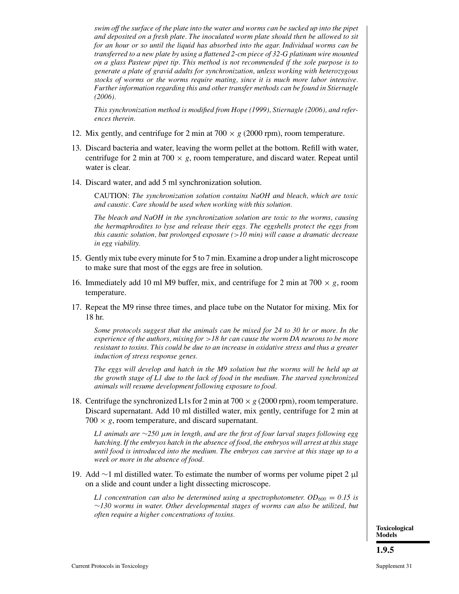*swim off the surface of the plate into the water and worms can be sucked up into the pipet and deposited on a fresh plate. The inoculated worm plate should then be allowed to sit for an hour or so until the liquid has absorbed into the agar. Individual worms can be transferred to a new plate by using a flattened 2-cm piece of 32-G platinum wire mounted on a glass Pasteur pipet tip. This method is not recommended if the sole purpose is to generate a plate of gravid adults for synchronization, unless working with heterozygous stocks of worms or the worms require mating, since it is much more labor intensive. Further information regarding this and other transfer methods can be found in Stiernagle (2006).*

*This synchronization method is modified from Hope (1999), Stiernagle (2006), and references therein.*

- 12. Mix gently, and centrifuge for 2 min at  $700 \times g$  (2000 rpm), room temperature.
- 13. Discard bacteria and water, leaving the worm pellet at the bottom. Refill with water, centrifuge for 2 min at 700  $\times$  g, room temperature, and discard water. Repeat until water is clear.
- 14. Discard water, and add 5 ml synchronization solution.

CAUTION: *The synchronization solution contains NaOH and bleach, which are toxic and caustic. Care should be used when working with this solution.*

*The bleach and NaOH in the synchronization solution are toxic to the worms, causing the hermaphrodites to lyse and release their eggs. The eggshells protect the eggs from this caustic solution, but prolonged exposure (*>*10 min) will cause a dramatic decrease in egg viability.*

- 15. Gently mix tube every minute for 5 to 7 min. Examine a drop under a light microscope to make sure that most of the eggs are free in solution.
- 16. Immediately add 10 ml M9 buffer, mix, and centrifuge for 2 min at  $700 \times g$ , room temperature.
- 17. Repeat the M9 rinse three times, and place tube on the Nutator for mixing. Mix for 18 hr.

*Some protocols suggest that the animals can be mixed for 24 to 30 hr or more. In the experience of the authors, mixing for* >*18 hr can cause the worm DA neurons to be more resistant to toxins. This could be due to an increase in oxidative stress and thus a greater induction of stress response genes.*

*The eggs will develop and hatch in the M9 solution but the worms will be held up at the growth stage of L1 due to the lack of food in the medium. The starved synchronized animals will resume development following exposure to food.*

18. Centrifuge the synchronized L1s for 2 min at  $700 \times g$  (2000 rpm), room temperature. Discard supernatant. Add 10 ml distilled water, mix gently, centrifuge for 2 min at  $700 \times g$ , room temperature, and discard supernatant.

*L1 animals are* ∼*250* µ*m in length, and are the first of four larval stages following egg hatching. If the embryos hatch in the absence of food, the embryos will arrest at this stage until food is introduced into the medium. The embryos can survive at this stage up to a week or more in the absence of food.*

19. Add ∼1 ml distilled water. To estimate the number of worms per volume pipet 2 µl on a slide and count under a light dissecting microscope.

*L1 concentration can also be determined using a spectrophotometer.*  $OD_{600} = 0.15$  is ∼*130 worms in water. Other developmental stages of worms can also be utilized, but often require a higher concentrations of toxins.*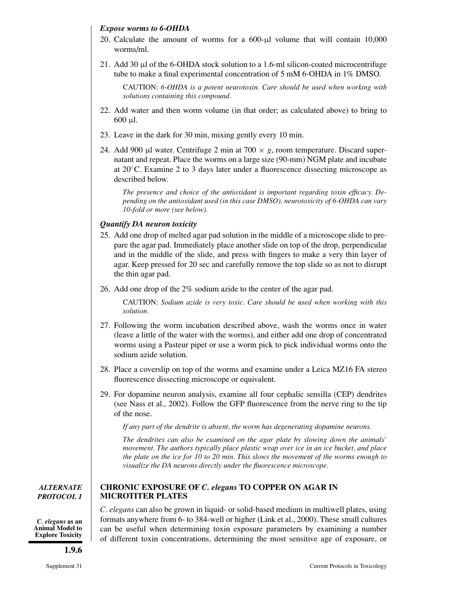## *Expose worms to 6-OHDA*

- 20. Calculate the amount of worms for a 600-µl volume that will contain 10,000 worms/ml.
- 21. Add 30  $\mu$  of the 6-OHDA stock solution to a 1.6-ml silicon-coated microcentrifuge tube to make a final experimental concentration of 5 mM 6-OHDA in 1% DMSO.

CAUTION: *6-OHDA is a potent neurotoxin. Care should be used when working with solutions containing this compound.*

- 22. Add water and then worm volume (in that order; as calculated above) to bring to 600 µl.
- 23. Leave in the dark for 30 min, mixing gently every 10 min.
- 24. Add 900 µl water. Centrifuge 2 min at  $700 \times g$ , room temperature. Discard supernatant and repeat. Place the worms on a large size (90-mm) NGM plate and incubate at 20◦C. Examine 2 to 3 days later under a fluorescence dissecting microscope as described below.

*The presence and choice of the antioxidant is important regarding toxin efficacy. Depending on the antioxidant used (in this case DMSO), neurotoxicity of 6-OHDA can vary 10-fold or more (see below).*

# *Quantify DA neuron toxicity*

**MICROTITER PLATES**

- 25. Add one drop of melted agar pad solution in the middle of a microscope slide to prepare the agar pad. Immediately place another slide on top of the drop, perpendicular and in the middle of the slide, and press with fingers to make a very thin layer of agar. Keep pressed for 20 sec and carefully remove the top slide so as not to disrupt the thin agar pad.
- 26. Add one drop of the 2% sodium azide to the center of the agar pad.

CAUTION: *Sodium azide is very toxic. Care should be used when working with this solution.*

- 27. Following the worm incubation described above, wash the worms once in water (leave a little of the water with the worms), and either add one drop of concentrated worms using a Pasteur pipet or use a worm pick to pick individual worms onto the sodium azide solution.
- 28. Place a coverslip on top of the worms and examine under a Leica MZ16 FA stereo fluorescence dissecting microscope or equivalent.
- 29. For dopamine neuron analysis, examine all four cephalic sensilla (CEP) dendrites (see Nass et al., 2002). Follow the GFP fluorescence from the nerve ring to the tip of the nose.

*If any part of the dendrite is absent, the worm has degenerating dopamine neurons.*

**CHRONIC EXPOSURE OF** *C. elegans* **TO COPPER ON AGAR IN**

*The dendrites can also be examined on the agar plate by slowing down the animals' movement. The authors typically place plastic wrap over ice in an ice bucket, and place the plate on the ice for 10 to 20 min. This slows the movement of the worms enough to visualize the DA neurons directly under the fluorescence microscope.*

# *ALTERNATE PROTOCOL 1*

*C. elegans* **as an Animal Model to Explore Toxicity**

# **1.9.6**

*C. elegans* can also be grown in liquid- or solid-based medium in multiwell plates, using formats anywhere from 6- to 384-well or higher (Link et al., 2000). These small cultures can be useful when determining toxin exposure parameters by examining a number of different toxin concentrations, determining the most sensitive age of exposure, or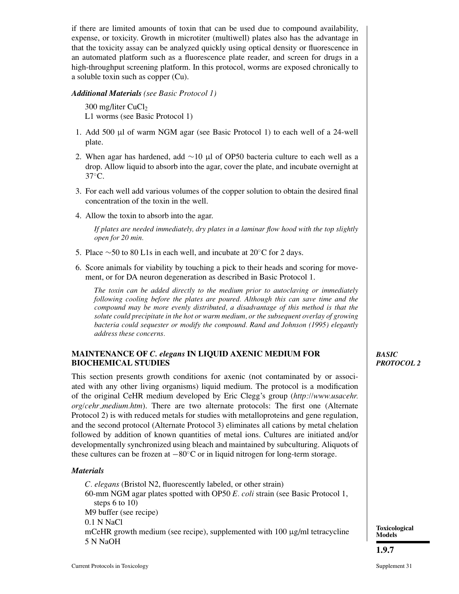if there are limited amounts of toxin that can be used due to compound availability, expense, or toxicity. Growth in microtiter (multiwell) plates also has the advantage in that the toxicity assay can be analyzed quickly using optical density or fluorescence in an automated platform such as a fluorescence plate reader, and screen for drugs in a high-throughput screening platform. In this protocol, worms are exposed chronically to a soluble toxin such as copper (Cu).

*Additional Materials (see Basic Protocol 1)*

300 mg/liter  $CuCl<sub>2</sub>$ L1 worms (see Basic Protocol 1)

- 1. Add 500 µl of warm NGM agar (see Basic Protocol 1) to each well of a 24-well plate.
- 2. When agar has hardened, add ∼10 µl of OP50 bacteria culture to each well as a drop. Allow liquid to absorb into the agar, cover the plate, and incubate overnight at  $37^\circ$ C.
- 3. For each well add various volumes of the copper solution to obtain the desired final concentration of the toxin in the well.
- 4. Allow the toxin to absorb into the agar.

*If plates are needed immediately, dry plates in a laminar flow hood with the top slightly open for 20 min.*

- 5. Place ∼50 to 80 L1s in each well, and incubate at 20◦C for 2 days.
- 6. Score animals for viability by touching a pick to their heads and scoring for movement, or for DA neuron degeneration as described in Basic Protocol 1.

*The toxin can be added directly to the medium prior to autoclaving or immediately following cooling before the plates are poured. Although this can save time and the compound may be more evenly distributed, a disadvantage of this method is that the solute could precipitate in the hot or warm medium, or the subsequent overlay of growing bacteria could sequester or modify the compound. Rand and Johnson (1995) elegantly address these concerns.*

# **MAINTENANCE OF** *C. elegans* **IN LIQUID AXENIC MEDIUM FOR BIOCHEMICAL STUDIES**

This section presents growth conditions for axenic (not contaminated by or associated with any other living organisms) liquid medium. The protocol is a modification of the original CeHR medium developed by Eric Clegg's group (*http://www.usacehr. org/cehr medium.htm*). There are two alternate protocols: The first one (Alternate Protocol 2) is with reduced metals for studies with metalloproteins and gene regulation, and the second protocol (Alternate Protocol 3) eliminates all cations by metal chelation followed by addition of known quantities of metal ions. Cultures are initiated and/or developmentally synchronized using bleach and maintained by subculturing. Aliquots of these cultures can be frozen at −80◦C or in liquid nitrogen for long-term storage.

# *Materials*

*C. elegans* (Bristol N2, fluorescently labeled, or other strain) 60-mm NGM agar plates spotted with OP50 *E. coli* strain (see Basic Protocol 1, steps 6 to 10) M9 buffer (see recipe) 0.1 N NaCl mCeHR growth medium (see recipe), supplemented with  $100 \mu g/ml$  tetracycline 5 N NaOH

## *BASIC PROTOCOL 2*

**Toxicological Models**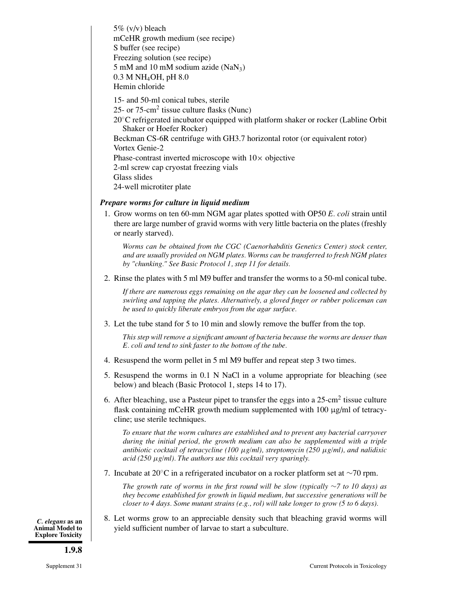5% (v/v) bleach mCeHR growth medium (see recipe) S buffer (see recipe) Freezing solution (see recipe) 5 mM and 10 mM sodium azide  $(NaN_3)$ 0.3 M NH4OH, pH 8.0 Hemin chloride

15- and 50-ml conical tubes, sterile

25- or 75-cm<sup>2</sup> tissue culture flasks (Nunc)

20◦C refrigerated incubator equipped with platform shaker or rocker (Labline Orbit Shaker or Hoefer Rocker)

Beckman CS-6R centrifuge with GH3.7 horizontal rotor (or equivalent rotor) Vortex Genie-2

Phase-contrast inverted microscope with  $10\times$  objective

2-ml screw cap cryostat freezing vials

Glass slides

24-well microtiter plate

# *Prepare worms for culture in liquid medium*

1. Grow worms on ten 60-mm NGM agar plates spotted with OP50 *E. coli* strain until there are large number of gravid worms with very little bacteria on the plates (freshly or nearly starved).

*Worms can be obtained from the CGC (Caenorhabditis Genetics Center) stock center, and are usually provided on NGM plates. Worms can be transferred to fresh NGM plates by "chunking." See Basic Protocol 1, step 11 for details.*

2. Rinse the plates with 5 ml M9 buffer and transfer the worms to a 50-ml conical tube.

*If there are numerous eggs remaining on the agar they can be loosened and collected by swirling and tapping the plates. Alternatively, a gloved finger or rubber policeman can be used to quickly liberate embryos from the agar surface.*

3. Let the tube stand for 5 to 10 min and slowly remove the buffer from the top.

*This step will remove a significant amount of bacteria because the worms are denser than E. coli and tend to sink faster to the bottom of the tube.*

- 4. Resuspend the worm pellet in 5 ml M9 buffer and repeat step 3 two times.
- 5. Resuspend the worms in 0.1 N NaCl in a volume appropriate for bleaching (see below) and bleach (Basic Protocol 1, steps 14 to 17).
- 6. After bleaching, use a Pasteur pipet to transfer the eggs into a 25-cm<sup>2</sup> tissue culture flask containing mCeHR growth medium supplemented with 100 µg/ml of tetracycline; use sterile techniques.

*To ensure that the worm cultures are established and to prevent any bacterial carryover during the initial period, the growth medium can also be supplemented with a triple antibiotic cocktail of tetracycline (100* µ*g/ml), streptomycin (250* µ*g/ml), and nalidixic acid (250* µ*g/ml). The authors use this cocktail very sparingly.*

7. Incubate at 20◦C in a refrigerated incubator on a rocker platform set at ∼70 rpm.

*The growth rate of worms in the first round will be slow (typically* ∼*7 to 10 days) as they become established for growth in liquid medium, but successive generations will be closer to 4 days. Some mutant strains (e.g., rol) will take longer to grow (5 to 6 days).*

8. Let worms grow to an appreciable density such that bleaching gravid worms will yield sufficient number of larvae to start a subculture.

*C. elegans* **as an Animal Model to Explore Toxicity**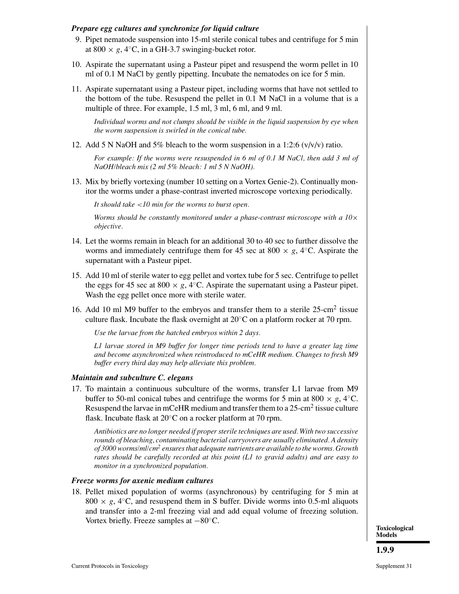## *Prepare egg cultures and synchronize for liquid culture*

- 9. Pipet nematode suspension into 15-ml sterile conical tubes and centrifuge for 5 min at 800  $\times$  *g*, 4 $\degree$ C, in a GH-3.7 swinging-bucket rotor.
- 10. Aspirate the supernatant using a Pasteur pipet and resuspend the worm pellet in 10 ml of 0.1 M NaCl by gently pipetting. Incubate the nematodes on ice for 5 min.
- 11. Aspirate supernatant using a Pasteur pipet, including worms that have not settled to the bottom of the tube. Resuspend the pellet in 0.1 M NaCl in a volume that is a multiple of three. For example, 1.5 ml, 3 ml, 6 ml, and 9 ml.

*Individual worms and not clumps should be visible in the liquid suspension by eye when the worm suspension is swirled in the conical tube.*

12. Add 5 N NaOH and 5% bleach to the worm suspension in a 1:2:6  $(v/v/v)$  ratio.

*For example: If the worms were resuspended in 6 ml of 0.1 M NaCl, then add 3 ml of NaOH/bleach mix (2 ml 5% bleach: 1 ml 5 N NaOH).*

13. Mix by briefly vortexing (number 10 setting on a Vortex Genie-2). Continually monitor the worms under a phase-contrast inverted microscope vortexing periodically.

*It should take* <*10 min for the worms to burst open.*

*Worms should be constantly monitored under a phase-contrast microscope with a 10*× *objective.*

- 14. Let the worms remain in bleach for an additional 30 to 40 sec to further dissolve the worms and immediately centrifuge them for 45 sec at 800  $\times$  *g*, 4<sup>°</sup>C. Aspirate the supernatant with a Pasteur pipet.
- 15. Add 10 ml of sterile water to egg pellet and vortex tube for 5 sec. Centrifuge to pellet the eggs for 45 sec at 800  $\times g$ , 4<sup>°</sup>C. Aspirate the supernatant using a Pasteur pipet. Wash the egg pellet once more with sterile water.
- 16. Add 10 ml M9 buffer to the embryos and transfer them to a sterile  $25$ -cm<sup>2</sup> tissue culture flask. Incubate the flask overnight at  $20^{\circ}$ C on a platform rocker at 70 rpm.

*Use the larvae from the hatched embryos within 2 days.*

*L1 larvae stored in M9 buffer for longer time periods tend to have a greater lag time and become asynchronized when reintroduced to mCeHR medium. Changes to fresh M9 buffer every third day may help alleviate this problem.*

#### *Maintain and subculture C. elegans*

17. To maintain a continuous subculture of the worms, transfer L1 larvae from M9 buffer to 50-ml conical tubes and centrifuge the worms for 5 min at 800  $\times$  *g*, 4<sup>°</sup>C. Resuspend the larvae in mCeHR medium and transfer them to a  $25$ -cm<sup>2</sup> tissue culture flask. Incubate flask at  $20^{\circ}$ C on a rocker platform at 70 rpm.

*Antibiotics are no longer needed if proper sterile techniques are used. With two successive rounds of bleaching, contaminating bacterial carryovers are usually eliminated. A density of 3000 worms/ml/cm<sup>2</sup> ensures that adequate nutrients are available to the worms. Growth rates should be carefully recorded at this point (L1 to gravid adults) and are easy to monitor in a synchronized population.*

#### *Freeze worms for axenic medium cultures*

18. Pellet mixed population of worms (asynchronous) by centrifuging for 5 min at  $800 \times g$ ,  $4\degree$ C, and resuspend them in S buffer. Divide worms into 0.5-ml aliquots and transfer into a 2-ml freezing vial and add equal volume of freezing solution. Vortex briefly. Freeze samples at −80◦C.

**Toxicological Models**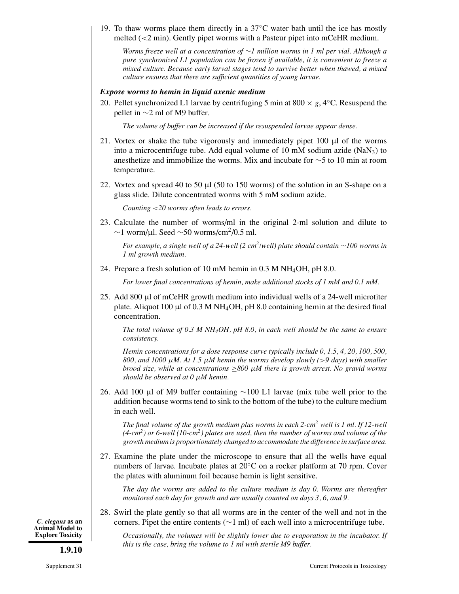19. To thaw worms place them directly in a  $37^{\circ}$ C water bath until the ice has mostly melted  $\langle$  <2 min). Gently pipet worms with a Pasteur pipet into mCeHR medium.

*Worms freeze well at a concentration of* ∼*1 million worms in 1 ml per vial. Although a pure synchronized L1 population can be frozen if available, it is convenient to freeze a mixed culture. Because early larval stages tend to survive better when thawed, a mixed culture ensures that there are sufficient quantities of young larvae.*

#### *Expose worms to hemin in liquid axenic medium*

20. Pellet synchronized L1 larvae by centrifuging 5 min at 800  $\times g$ , 4<sup>°</sup>C. Resuspend the pellet in ∼2 ml of M9 buffer.

*The volume of buffer can be increased if the resuspended larvae appear dense.*

- 21. Vortex or shake the tube vigorously and immediately pipet 100 µl of the worms into a microcentrifuge tube. Add equal volume of 10 mM sodium azide (NaN<sub>3</sub>) to anesthetize and immobilize the worms. Mix and incubate for ∼5 to 10 min at room temperature.
- 22. Vortex and spread 40 to 50  $\mu$ l (50 to 150 worms) of the solution in an S-shape on a glass slide. Dilute concentrated worms with 5 mM sodium azide.

*Counting* <*20 worms often leads to errors.*

23. Calculate the number of worms/ml in the original 2-ml solution and dilute to  $\sim$ 1 worm/µl. Seed  $\sim$ 50 worms/cm<sup>2</sup>/0.5 ml.

*For example, a single well of a 24-well (2 cm2/well) plate should contain* <sup>∼</sup>*100 worms in 1 ml growth medium.*

24. Prepare a fresh solution of 10 mM hemin in 0.3 M NH4OH, pH 8.0.

*For lower final concentrations of hemin, make additional stocks of 1 mM and 0.1 mM.*

25. Add 800 µl of mCeHR growth medium into individual wells of a 24-well microtiter plate. Aliquot 100  $\mu$ l of 0.3 M NH<sub>4</sub>OH, pH 8.0 containing hemin at the desired final concentration.

*The total volume of 0.3 M NH4OH, pH 8.0, in each well should be the same to ensure consistency.*

*Hemin concentrations for a dose response curve typically include 0, 1.5, 4, 20, 100, 500, 800, and 1000* µ*M. At 1.5* µ*M hemin the worms develop slowly (*>*9 days) with smaller brood size, while at concentrations* ≥*800* µ*M there is growth arrest. No gravid worms should be observed at 0* µ*M hemin.*

26. Add 100 µl of M9 buffer containing ∼100 L1 larvae (mix tube well prior to the addition because worms tend to sink to the bottom of the tube) to the culture medium in each well.

*The final volume of the growth medium plus worms in each 2-cm<sup>2</sup> well is 1 ml. If 12-well (4-cm2) or 6-well (10-cm2) plates are used, then the number of worms and volume of the growth medium is proportionately changed to accommodate the difference in surface area.*

27. Examine the plate under the microscope to ensure that all the wells have equal numbers of larvae. Incubate plates at 20<sup>°</sup>C on a rocker platform at 70 rpm. Cover the plates with aluminum foil because hemin is light sensitive.

*The day the worms are added to the culture medium is day 0. Worms are thereafter monitored each day for growth and are usually counted on days 3, 6, and 9.*

28. Swirl the plate gently so that all worms are in the center of the well and not in the corners. Pipet the entire contents (∼1 ml) of each well into a microcentrifuge tube.

*Occasionally, the volumes will be slightly lower due to evaporation in the incubator. If this is the case, bring the volume to 1 ml with sterile M9 buffer.*

*C. elegans* **as an Animal Model to Explore Toxicity**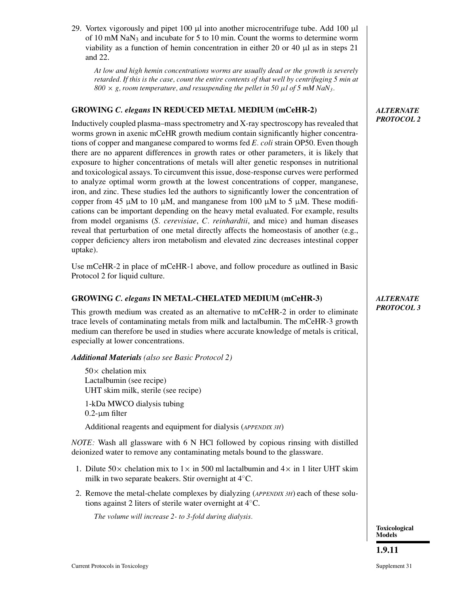29. Vortex vigorously and pipet 100  $\mu$ l into another microcentrifuge tube. Add 100  $\mu$ l of 10 mM NaN<sub>3</sub> and incubate for 5 to 10 min. Count the worms to determine worm viability as a function of hemin concentration in either 20 or 40  $\mu$ l as in steps 21 and 22.

*At low and high hemin concentrations worms are usually dead or the growth is severely retarded. If this is the case, count the entire contents of that well by centrifuging 5 min at*  $800 \times g$ , room temperature, and resuspending the pellet in 50  $\mu$ *l* of 5 mM NaN<sub>3</sub>.

# **GROWING** *C. elegans* **IN REDUCED METAL MEDIUM (mCeHR-2)**

Inductively coupled plasma–mass spectrometry and X-ray spectroscopy has revealed that worms grown in axenic mCeHR growth medium contain significantly higher concentrations of copper and manganese compared to worms fed *E. coli* strain OP50. Even though there are no apparent differences in growth rates or other parameters, it is likely that exposure to higher concentrations of metals will alter genetic responses in nutritional and toxicological assays. To circumvent this issue, dose-response curves were performed to analyze optimal worm growth at the lowest concentrations of copper, manganese, iron, and zinc. These studies led the authors to significantly lower the concentration of copper from 45  $\mu$ M to 10  $\mu$ M, and manganese from 100  $\mu$ M to 5  $\mu$ M. These modifications can be important depending on the heavy metal evaluated. For example, results from model organisms (*S. cerevisiae*, *C. reinhardtii*, and mice) and human diseases reveal that perturbation of one metal directly affects the homeostasis of another (e.g., copper deficiency alters iron metabolism and elevated zinc decreases intestinal copper uptake).

Use mCeHR-2 in place of mCeHR-1 above, and follow procedure as outlined in Basic Protocol 2 for liquid culture.

# **GROWING** *C. elegans* **IN METAL-CHELATED MEDIUM (mCeHR-3)**

This growth medium was created as an alternative to mCeHR-2 in order to eliminate trace levels of contaminating metals from milk and lactalbumin. The mCeHR-3 growth medium can therefore be used in studies where accurate knowledge of metals is critical, especially at lower concentrations.

*Additional Materials (also see Basic Protocol 2)*

 $50\times$  chelation mix Lactalbumin (see recipe) UHT skim milk, sterile (see recipe) 1-kDa MWCO dialysis tubing  $0.2$ - $\mu$ m filter

Additional reagents and equipment for dialysis (*APPENDIX 3H*)

*NOTE:* Wash all glassware with 6 N HCl followed by copious rinsing with distilled deionized water to remove any contaminating metals bound to the glassware.

- 1. Dilute  $50\times$  chelation mix to  $1\times$  in 500 ml lactalbumin and  $4\times$  in 1 liter UHT skim milk in two separate beakers. Stir overnight at 4◦C.
- 2. Remove the metal-chelate complexes by dialyzing (*APPENDIX 3H*) each of these solutions against 2 liters of sterile water overnight at 4◦C.

*The volume will increase 2- to 3-fold during dialysis.*

*ALTERNATE PROTOCOL 2*

## *ALTERNATE PROTOCOL 3*

**1.9.11**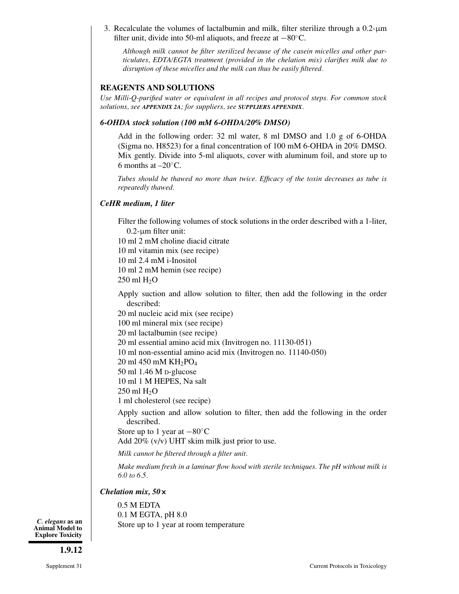3. Recalculate the volumes of lactalbumin and milk, filter sterilize through a 0.2-µm filter unit, divide into 50-ml aliquots, and freeze at −80◦C.

*Although milk cannot be filter sterilized because of the casein micelles and other particulates, EDTA/EGTA treatment (provided in the chelation mix) clarifies milk due to disruption of these micelles and the milk can thus be easily filtered.*

#### **REAGENTS AND SOLUTIONS**

*Use Milli-Q-purified water or equivalent in all recipes and protocol steps. For common stock solutions, see APPENDIX 2A; for suppliers, see SUPPLIERS APPENDIX.*

#### *6-OHDA stock solution (100 mM 6-OHDA/20% DMSO)*

Add in the following order: 32 ml water, 8 ml DMSO and 1.0 g of 6-OHDA (Sigma no. H8523) for a final concentration of 100 mM 6-OHDA in 20% DMSO. Mix gently. Divide into 5-ml aliquots, cover with aluminum foil, and store up to 6 months at  $-20^\circ$ C.

*Tubes should be thawed no more than twice. Efficacy of the toxin decreases as tube is repeatedly thawed.*

## *CeHR medium, 1 liter*

Filter the following volumes of stock solutions in the order described with a 1-liter,  $0.2$ - $\mu$ m filter unit:

10 ml 2 mM choline diacid citrate

10 ml vitamin mix (see recipe)

10 ml 2.4 mM i-Inositol

10 ml 2 mM hemin (see recipe)  $250$  ml  $H<sub>2</sub>O$ 

Apply suction and allow solution to filter, then add the following in the order described:

20 ml nucleic acid mix (see recipe)

100 ml mineral mix (see recipe)

20 ml lactalbumin (see recipe)

20 ml essential amino acid mix (Invitrogen no. 11130-051)

10 ml non-essential amino acid mix (Invitrogen no. 11140-050)

 $20$  ml  $450$  mM KH<sub>2</sub>PO<sub>4</sub>

50 ml 1.46 M D-glucose

10 ml 1 M HEPES, Na salt

 $250$  ml  $H<sub>2</sub>O$ 

1 ml cholesterol (see recipe)

Apply suction and allow solution to filter, then add the following in the order described.

Store up to 1 year at  $-80^\circ \text{C}$ 

Add 20% (v/v) UHT skim milk just prior to use.

*Milk cannot be filtered through a filter unit.*

*Make medium fresh in a laminar flow hood with sterile techniques. The pH without milk is 6.0 to 6.5.*

#### *Chelation mix, 50***×**

0.5 M EDTA 0.1 M EGTA, pH 8.0 Store up to 1 year at room temperature

*C. elegans* **as an Animal Model to Explore Toxicity**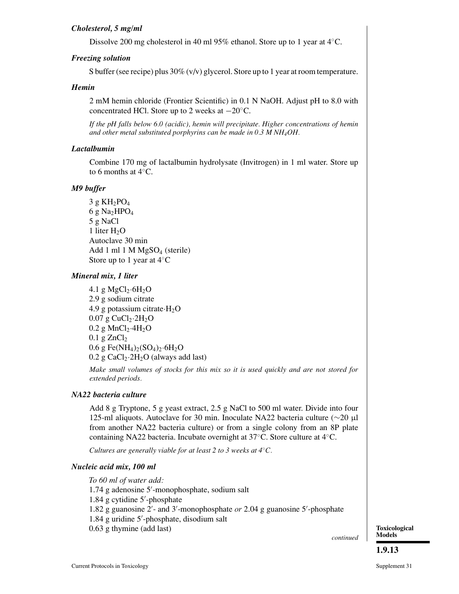# *Cholesterol, 5 mg/ml*

Dissolve 200 mg cholesterol in 40 ml 95% ethanol. Store up to 1 year at 4◦C.

# *Freezing solution*

S buffer (see recipe) plus 30% (v/v) glycerol. Store up to 1 year at room temperature.

## *Hemin*

2 mM hemin chloride (Frontier Scientific) in 0.1 N NaOH. Adjust pH to 8.0 with concentrated HCl. Store up to 2 weeks at −20◦C.

*If the pH falls below 6.0 (acidic), hemin will precipitate. Higher concentrations of hemin and other metal substituted porphyrins can be made in 0.3 M NH4OH.*

## *Lactalbumin*

Combine 170 mg of lactalbumin hydrolysate (Invitrogen) in 1 ml water. Store up to 6 months at 4◦C.

## *M9 buffer*

 $3 g KH<sub>2</sub>PO<sub>4</sub>$ 6 g Na<sub>2</sub>HPO<sub>4</sub> 5 g NaCl 1 liter  $H_2O$ Autoclave 30 min Add 1 ml 1 M MgSO<sub>4</sub> (sterile) Store up to 1 year at  $4°C$ 

## *Mineral mix, 1 liter*

4.1 g  $MgCl<sub>2</sub>·6H<sub>2</sub>O$ 2.9 g sodium citrate 4.9 g potassium citrate $\cdot$ H<sub>2</sub>O  $0.07$  g CuCl<sub>2</sub> $\cdot$ 2H<sub>2</sub>O  $0.2$  g MnCl<sub>2</sub> $\cdot$ 4H<sub>2</sub>O  $0.1$  g ZnCl<sub>2</sub>  $0.6$  g Fe(NH<sub>4</sub>)<sub>2</sub>(SO<sub>4</sub>)<sub>2</sub>·6H<sub>2</sub>O  $0.2$  g CaCl<sub>2</sub> $\cdot$ 2H<sub>2</sub>O (always add last)

*Make small volumes of stocks for this mix so it is used quickly and are not stored for extended periods.*

# *NA22 bacteria culture*

Add 8 g Tryptone, 5 g yeast extract, 2.5 g NaCl to 500 ml water. Divide into four 125-ml aliquots. Autoclave for 30 min. Inoculate NA22 bacteria culture (∼20 µl from another NA22 bacteria culture) or from a single colony from an 8P plate containing NA22 bacteria. Incubate overnight at 37◦C. Store culture at 4◦C.

*Cultures are generally viable for at least 2 to 3 weeks at 4*◦*C.*

#### *Nucleic acid mix, 100 ml*

*To 60 ml of water add:* 1.74 g adenosine 5 -monophosphate, sodium salt 1.84 g cytidine 5 -phosphate 1.82 g guanosine 2 - and 3 -monophosphate *or* 2.04 g guanosine 5 -phosphate 1.84 g uridine 5 -phosphate, disodium salt 0.63 g thymine (add last)

*continued*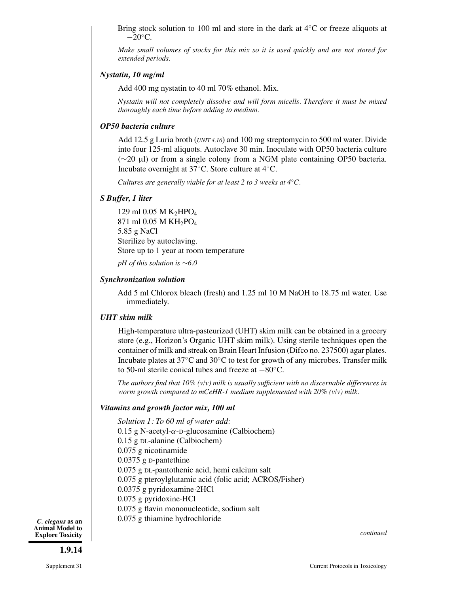Bring stock solution to 100 ml and store in the dark at 4◦C or freeze aliquots at  $-20^\circ$ C.

*Make small volumes of stocks for this mix so it is used quickly and are not stored for extended periods.*

#### *Nystatin, 10 mg/ml*

Add 400 mg nystatin to 40 ml 70% ethanol. Mix.

*Nystatin will not completely dissolve and will form micells. Therefore it must be mixed thoroughly each time before adding to medium.*

#### *OP50 bacteria culture*

Add 12.5 g Luria broth (*UNIT 4.16*) and 100 mg streptomycin to 500 ml water. Divide into four 125-ml aliquots. Autoclave 30 min. Inoculate with OP50 bacteria culture (∼20 µl) or from a single colony from a NGM plate containing OP50 bacteria. Incubate overnight at 37◦C. Store culture at 4◦C.

*Cultures are generally viable for at least 2 to 3 weeks at 4*◦*C.*

#### *S Buffer, 1 liter*

129 ml 0.05 M  $K_2HPO<sub>4</sub>$ 871 ml 0.05 M KH2PO4 5.85 g NaCl Sterilize by autoclaving. Store up to 1 year at room temperature

*pH of this solution is* ∼*6.0*

#### *Synchronization solution*

Add 5 ml Chlorox bleach (fresh) and 1.25 ml 10 M NaOH to 18.75 ml water. Use immediately.

#### *UHT skim milk*

High-temperature ultra-pasteurized (UHT) skim milk can be obtained in a grocery store (e.g., Horizon's Organic UHT skim milk). Using sterile techniques open the container of milk and streak on Brain Heart Infusion (Difco no. 237500) agar plates. Incubate plates at 37◦C and 30◦C to test for growth of any microbes. Transfer milk to 50-ml sterile conical tubes and freeze at −80◦C.

*The authors find that 10% (v/v) milk is usually sufficient with no discernable differences in worm growth compared to mCeHR-1 medium supplemented with 20% (v/v) milk.*

#### *Vitamins and growth factor mix, 100 ml*

*Solution 1: To 60 ml of water add:* 0.15 g N-acetyl-α-D-glucosamine (Calbiochem) 0.15 g DL-alanine (Calbiochem) 0.075 g nicotinamide 0.0375 g D-pantethine 0.075 g DL-pantothenic acid, hemi calcium salt 0.075 g pteroylglutamic acid (folic acid; ACROS/Fisher) 0.0375 g pyridoxamine·2HCl 0.075 g pyridoxine·HCl 0.075 g flavin mononucleotide, sodium salt 0.075 g thiamine hydrochloride

*C. elegans* **as an Animal Model to Explore Toxicity**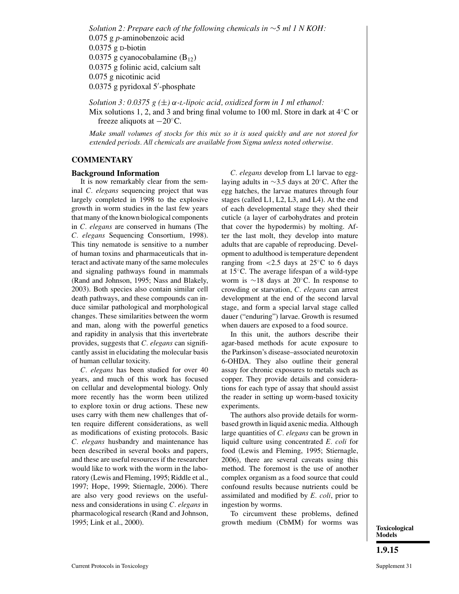*Solution 2: Prepare each of the following chemicals in* ∼*5 ml 1 N KOH:* 0.075 g *p*-aminobenzoic acid 0.0375 g D-biotin  $0.0375$  g cyanocobalamine  $(B_{12})$ 0.0375 g folinic acid, calcium salt 0.075 g nicotinic acid 0.0375 g pyridoxal 5 -phosphate

*Solution 3: 0.0375 g (*±*)* α*-L-lipoic acid, oxidized form in 1 ml ethanol:* Mix solutions 1, 2, and 3 and bring final volume to 100 ml. Store in dark at  $4°C$  or freeze aliquots at  $-20^\circ$ C.

*Make small volumes of stocks for this mix so it is used quickly and are not stored for extended periods. All chemicals are available from Sigma unless noted otherwise.*

#### **COMMENTARY**

#### **Background Information**

It is now remarkably clear from the seminal *C. elegans* sequencing project that was largely completed in 1998 to the explosive growth in worm studies in the last few years that many of the known biological components in *C. elegans* are conserved in humans (The *C. elegans* Sequencing Consortium, 1998). This tiny nematode is sensitive to a number of human toxins and pharmaceuticals that interact and activate many of the same molecules and signaling pathways found in mammals (Rand and Johnson, 1995; Nass and Blakely, 2003). Both species also contain similar cell death pathways, and these compounds can induce similar pathological and morphological changes. These similarities between the worm and man, along with the powerful genetics and rapidity in analysis that this invertebrate provides, suggests that *C. elegans* can significantly assist in elucidating the molecular basis of human cellular toxicity.

*C. elegans* has been studied for over 40 years, and much of this work has focused on cellular and developmental biology. Only more recently has the worm been utilized to explore toxin or drug actions. These new uses carry with them new challenges that often require different considerations, as well as modifications of existing protocols. Basic *C. elegans* husbandry and maintenance has been described in several books and papers, and these are useful resources if the researcher would like to work with the worm in the laboratory (Lewis and Fleming, 1995; Riddle et al., 1997; Hope, 1999; Stiernagle, 2006). There are also very good reviews on the usefulness and considerations in using *C. elegans* in pharmacological research (Rand and Johnson, 1995; Link et al., 2000).

*C. elegans* develop from L1 larvae to egglaying adults in ∼3.5 days at 20◦C. After the egg hatches, the larvae matures through four stages (called L1, L2, L3, and L4). At the end of each developmental stage they shed their cuticle (a layer of carbohydrates and protein that cover the hypodermis) by molting. After the last molt, they develop into mature adults that are capable of reproducing. Development to adulthood is temperature dependent ranging from  $<$  2.5 days at 25 $\degree$ C to 6 days at 15◦C. The average lifespan of a wild-type worm is ∼18 days at 20◦C. In response to crowding or starvation, *C. elegans* can arrest development at the end of the second larval stage, and form a special larval stage called dauer ("enduring") larvae. Growth is resumed when dauers are exposed to a food source.

In this unit, the authors describe their agar-based methods for acute exposure to the Parkinson's disease–associated neurotoxin 6-OHDA. They also outline their general assay for chronic exposures to metals such as copper. They provide details and considerations for each type of assay that should assist the reader in setting up worm-based toxicity experiments.

The authors also provide details for wormbased growth in liquid axenic media. Although large quantities of *C. elegans* can be grown in liquid culture using concentrated *E. coli* for food (Lewis and Fleming, 1995; Stiernagle, 2006), there are several caveats using this method. The foremost is the use of another complex organism as a food source that could confound results because nutrients could be assimilated and modified by *E. coli*, prior to ingestion by worms.

To circumvent these problems, defined growth medium (CbMM) for worms was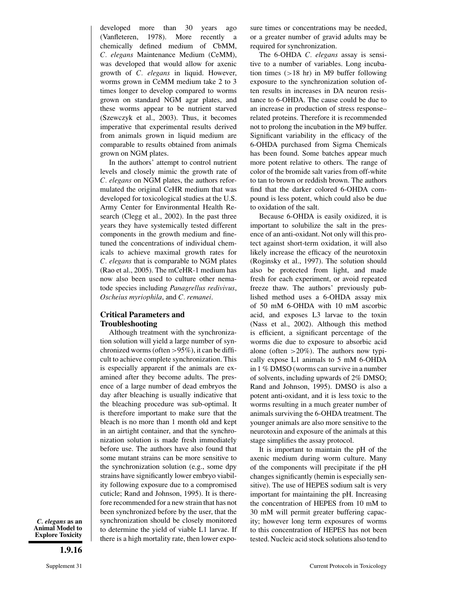developed more than 30 years ago (Vanfleteren, 1978). More recently a chemically defined medium of CbMM, *C. elegans* Maintenance Medium (CeMM), was developed that would allow for axenic growth of *C. elegans* in liquid. However, worms grown in CeMM medium take 2 to 3 times longer to develop compared to worms grown on standard NGM agar plates, and these worms appear to be nutrient starved (Szewczyk et al., 2003). Thus, it becomes imperative that experimental results derived from animals grown in liquid medium are comparable to results obtained from animals grown on NGM plates.

In the authors' attempt to control nutrient levels and closely mimic the growth rate of *C. elegans* on NGM plates, the authors reformulated the original CeHR medium that was developed for toxicological studies at the U.S. Army Center for Environmental Health Research (Clegg et al., 2002). In the past three years they have systemically tested different components in the growth medium and finetuned the concentrations of individual chemicals to achieve maximal growth rates for *C. elegans* that is comparable to NGM plates (Rao et al., 2005). The mCeHR-1 medium has now also been used to culture other nematode species including *Panagrellus redivivus*, *Oscheius myriophila*, and *C. remanei*.

#### **Critical Parameters and Troubleshooting**

Although treatment with the synchronization solution will yield a large number of synchronized worms (often >95%), it can be difficult to achieve complete synchronization. This is especially apparent if the animals are examined after they become adults. The presence of a large number of dead embryos the day after bleaching is usually indicative that the bleaching procedure was sub-optimal. It is therefore important to make sure that the bleach is no more than 1 month old and kept in an airtight container, and that the synchronization solution is made fresh immediately before use. The authors have also found that some mutant strains can be more sensitive to the synchronization solution (e.g., some dpy strains have significantly lower embryo viability following exposure due to a compromised cuticle; Rand and Johnson, 1995). It is therefore recommended for a new strain that has not been synchronized before by the user, that the synchronization should be closely monitored to determine the yield of viable L1 larvae. If there is a high mortality rate, then lower expo-

*C. elegans* **as an Animal Model to Explore Toxicity**

**1.9.16**

sure times or concentrations may be needed, or a greater number of gravid adults may be required for synchronization.

The 6-OHDA *C. elegans* assay is sensitive to a number of variables. Long incubation times  $(>18 \text{ hr})$  in M9 buffer following exposure to the synchronization solution often results in increases in DA neuron resistance to 6-OHDA. The cause could be due to an increase in production of stress response– related proteins. Therefore it is recommended not to prolong the incubation in the M9 buffer. Significant variability in the efficacy of the 6-OHDA purchased from Sigma Chemicals has been found. Some batches appear much more potent relative to others. The range of color of the bromide salt varies from off-white to tan to brown or reddish brown. The authors find that the darker colored 6-OHDA compound is less potent, which could also be due to oxidation of the salt.

Because 6-OHDA is easily oxidized, it is important to solubilize the salt in the presence of an anti-oxidant. Not only will this protect against short-term oxidation, it will also likely increase the efficacy of the neurotoxin (Roginsky et al., 1997). The solution should also be protected from light, and made fresh for each experiment, or avoid repeated freeze thaw. The authors' previously published method uses a 6-OHDA assay mix of 50 mM 6-OHDA with 10 mM ascorbic acid, and exposes L3 larvae to the toxin (Nass et al., 2002). Although this method is efficient, a significant percentage of the worms die due to exposure to absorbic acid alone (often  $>20\%$ ). The authors now typically expose L1 animals to 5 mM 6-OHDA in 1 % DMSO (worms can survive in a number of solvents, including upwards of 2% DMSO; Rand and Johnson, 1995). DMSO is also a potent anti-oxidant, and it is less toxic to the worms resulting in a much greater number of animals surviving the 6-OHDA treatment. The younger animals are also more sensitive to the neurotoxin and exposure of the animals at this stage simplifies the assay protocol.

It is important to maintain the pH of the axenic medium during worm culture. Many of the components will precipitate if the pH changes significantly (hemin is especially sensitive). The use of HEPES sodium salt is very important for maintaining the pH. Increasing the concentration of HEPES from 10 mM to 30 mM will permit greater buffering capacity; however long term exposures of worms to this concentration of HEPES has not been tested. Nucleic acid stock solutions also tend to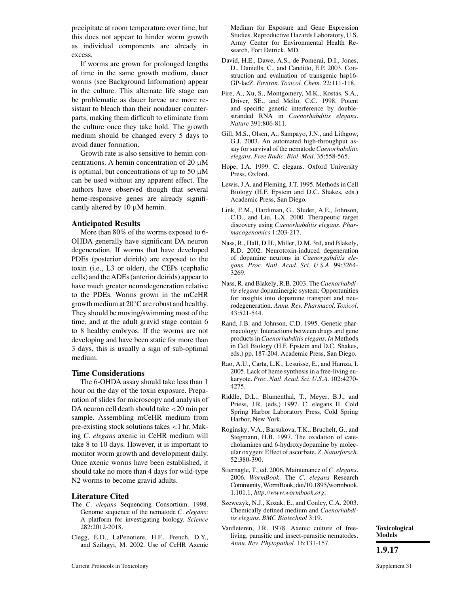precipitate at room temperature over time, but this does not appear to hinder worm growth as individual components are already in excess.

If worms are grown for prolonged lengths of time in the same growth medium, dauer worms (see Background Information) appear in the culture. This alternate life stage can be problematic as dauer larvae are more resistant to bleach than their nondauer counterparts, making them difficult to eliminate from the culture once they take hold. The growth medium should be changed every 5 days to avoid dauer formation.

Growth rate is also sensitive to hemin concentrations. A hemin concentration of  $20 \mu M$ is optimal, but concentrations of up to 50  $\mu$ M can be used without any apparent effect. The authors have observed though that several heme-responsive genes are already significantly altered by 10 µM hemin.

#### **Anticipated Results**

More than 80% of the worms exposed to 6- OHDA generally have significant DA neuron degeneration. If worms that have developed PDEs (posterior deirids) are exposed to the toxin (i.e., L3 or older), the CEPs (cephalic cells) and the ADEs (anterior deirids) appear to have much greater neurodegeneration relative to the PDEs. Worms grown in the mCeHR growth medium at 20◦C are robust and healthy. They should be moving/swimming most of the time, and at the adult gravid stage contain 6 to 8 healthy embryos. If the worms are not developing and have been static for more than 3 days, this is usually a sign of sub-optimal medium.

#### **Time Considerations**

The 6-OHDA assay should take less than 1 hour on the day of the toxin exposure. Preparation of slides for microscopy and analysis of DA neuron cell death should take <20 min per sample. Assembling mCeHR medium from pre-existing stock solutions takes <1 hr. Making *C. elegans* axenic in CeHR medium will take 8 to 10 days. However, it is important to monitor worm growth and development daily. Once axenic worms have been established, it should take no more than 4 days for wild-type N2 worms to become gravid adults.

#### **Literature Cited**

- The *C. elegans* Sequencing Consortium. 1998. Genome sequence of the nematode *C. elegans*: A platform for investigating biology. *Science* 282:2012-2018.
- Clegg, E.D., LaPenotiere, H.F., French, D.Y., and Szilagyi, M. 2002. Use of CeHR Axenic

Medium for Exposure and Gene Expression Studies. Reproductive Hazards Laboratory, U.S. Army Center for Environmental Health Research, Fort Detrick, MD.

- David, H.E., Dawe, A.S., de Pomerai, D.I., Jones, D., Daniells, C., and Candido, E.P. 2003. Construction and evaluation of transgenic hsp16- GP-lacZ. *Environ. Toxicol. Chem.* 22:111-118.
- Fire, A., Xu, S., Montgomery, M.K., Kostas, S.A., Driver, SE., and Mello, C.C. 1998. Potent and specific genetic interference by doublestranded RNA in *Caenorhabditis elegans*. *Nature* 391:806-811.
- Gill, M.S., Olsen, A., Sampayo, J.N., and Lithgow, G.J. 2003. An automated high-throughput assay for survival of the nematode *Caenorhabditis elegans*. *Free Radic. Biol. Med.* 35:558-565.
- Hope, I.A. 1999. C. elegans. Oxford University Press, Oxford.
- Lewis, J.A. and Fleming, J.T. 1995. Methods in Cell Biology (H.F. Epstein and D.C. Shakes, eds.) Academic Press, San Diego.
- Link, E.M., Hardiman, G., Sluder, A.E., Johnson, C.D., and Liu, L.X. 2000. Therapeutic target discovery using *Caenorhabditis elegans*. *Pharmacogenomics* 1:203-217.
- Nass, R., Hall, D.H., Miller, D.M. 3rd, and Blakely, R.D. 2002. Neurotoxin-induced degeneration of dopamine neurons in *Caenorgabditis elegans*. *Proc. Natl. Acad. Sci. U.S.A.* 99:3264- 3269.
- Nass, R. and Blakely, R.B. 2003. The*Caenorhabditis elegans* dopaminergic system: Opportunities for insights into dopamine transport and neurodegeneration. *Annu. Rev. Pharmacol. Toxicol.* 43:521-544.
- Rand, J.B. and Johnson, C.D. 1995. Genetic pharmacology: Interactions between drugs and gene products in *Caenorhabditis elegans*. *In* Methods in Cell Biology (H.F. Epstein and D.C. Shakes, eds.) pp. 187-204. Academic Press, San Diego.
- Rao, A.U., Carta, L.K., Lesuisse, E., and Hamza, I. 2005. Lack of heme synthesis in a free-living eukaryote. *Proc. Natl. Acad. Sci. U.S.A.* 102:4270- 4275.
- Riddle, D.L., Blumenthal, T., Meyer, B.J., and Priess, J.R. (eds.) 1997. C. elegans II. Cold Spring Harbor Laboratory Press, Cold Spring Harbor, New York.
- Roginsky, V.A., Barsukova, T.K., Bruchelt, G., and Stegmann, H.B. 1997. The oxidation of catecholamines and 6-hydroxydopamine by molecular oxygen: Effect of ascorbate. *Z. Naturforsch.* 52:380-390.
- Stiernagle, T., ed. 2006. Maintenance of *C. elegans*. 2006. *WormBook*. The *C. elegans* Research Community,WormBook, doi/10.1895/wormbook. 1.101.1, *http://www.wormbook.org*.
- Szewczyk, N.J., Kozak, E., and Conley, C.A. 2003. Chemically defined medium and *Caenorhabditis elegans*. *BMC Biotechnol* 3:19.
- Vanfleteren, J.R. 1978. Axenic culture of freeliving, parasitic and insect-parasitic nematodes. *Annu. Rev. Phytopathol.* 16:131-157.